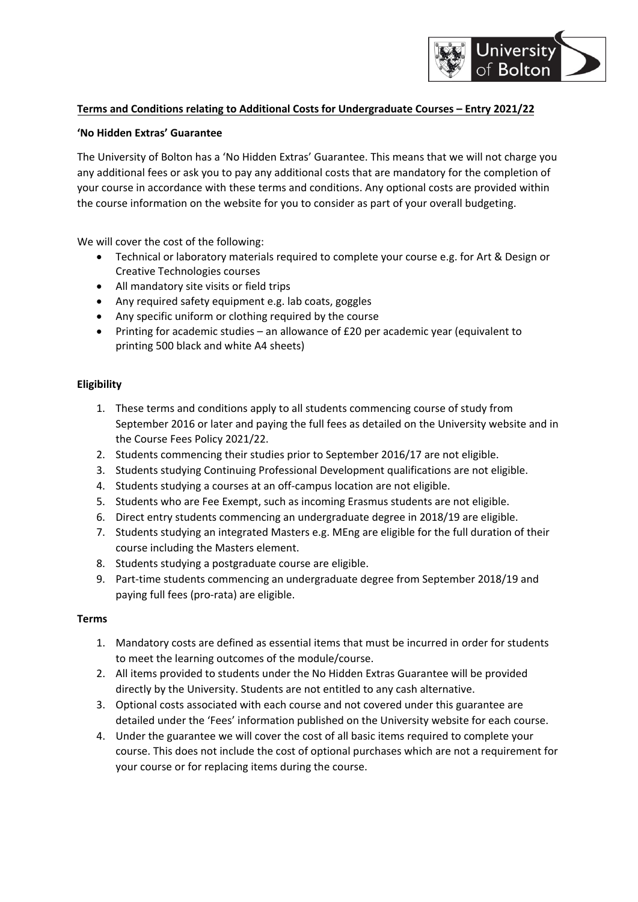# University **Bolton**

# **Terms and Conditions relating to Additional Costs for Undergraduate Courses – Entry 2021/22**

#### **'No Hidden Extras' Guarantee**

The University of Bolton has a 'No Hidden Extras' Guarantee. This means that we will not charge you any additional fees or ask you to pay any additional costs that are mandatory for the completion of your course in accordance with these terms and conditions. Any optional costs are provided within the course information on the website for you to consider as part of your overall budgeting.

We will cover the cost of the following:

- Technical or laboratory materials required to complete your course e.g. for Art & Design or Creative Technologies courses
- All mandatory site visits or field trips
- Any required safety equipment e.g. lab coats, goggles
- Any specific uniform or clothing required by the course
- Printing for academic studies an allowance of £20 per academic year (equivalent to printing 500 black and white A4 sheets)

# **Eligibility**

- 1. These terms and conditions apply to all students commencing course of study from September 2016 or later and paying the full fees as detailed on the University website and in the Course Fees Policy 2021/22.
- 2. Students commencing their studies prior to September 2016/17 are not eligible.
- 3. Students studying Continuing Professional Development qualifications are not eligible.
- 4. Students studying a courses at an off-campus location are not eligible.
- 5. Students who are Fee Exempt, such as incoming Erasmus students are not eligible.
- 6. Direct entry students commencing an undergraduate degree in 2018/19 are eligible.
- 7. Students studying an integrated Masters e.g. MEng are eligible for the full duration of their course including the Masters element.
- 8. Students studying a postgraduate course are eligible.
- 9. Part-time students commencing an undergraduate degree from September 2018/19 and paying full fees (pro‐rata) are eligible.

#### **Terms**

- 1. Mandatory costs are defined as essential items that must be incurred in order for students to meet the learning outcomes of the module/course.
- 2. All items provided to students under the No Hidden Extras Guarantee will be provided directly by the University. Students are not entitled to any cash alternative.
- 3. Optional costs associated with each course and not covered under this guarantee are detailed under the 'Fees' information published on the University website for each course.
- 4. Under the guarantee we will cover the cost of all basic items required to complete your course. This does not include the cost of optional purchases which are not a requirement for your course or for replacing items during the course.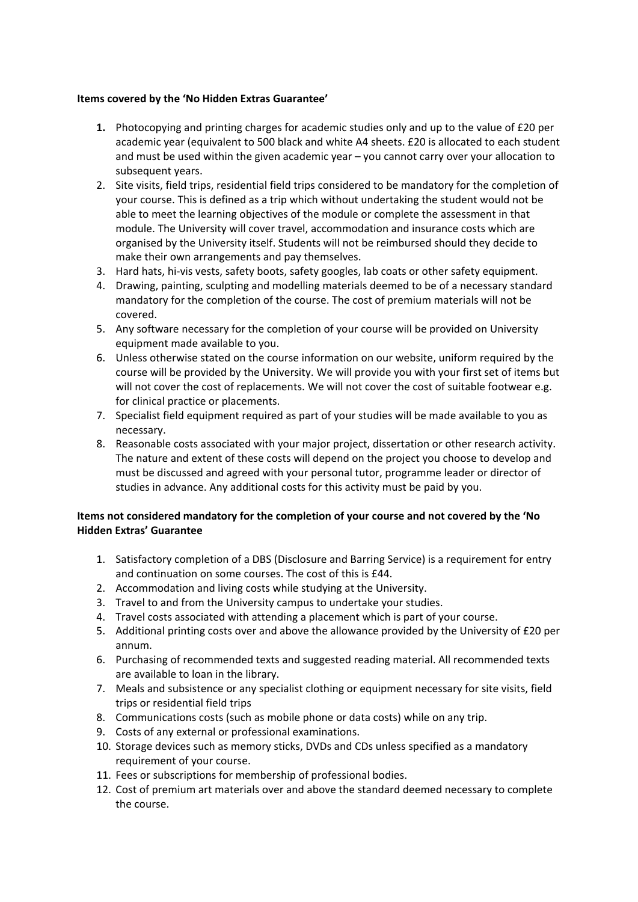#### **Items covered by the 'No Hidden Extras Guarantee'**

- **1.** Photocopying and printing charges for academic studies only and up to the value of £20 per academic year (equivalent to 500 black and white A4 sheets. £20 is allocated to each student and must be used within the given academic year – you cannot carry over your allocation to subsequent years.
- 2. Site visits, field trips, residential field trips considered to be mandatory for the completion of your course. This is defined as a trip which without undertaking the student would not be able to meet the learning objectives of the module or complete the assessment in that module. The University will cover travel, accommodation and insurance costs which are organised by the University itself. Students will not be reimbursed should they decide to make their own arrangements and pay themselves.
- 3. Hard hats, hi-vis vests, safety boots, safety googles, lab coats or other safety equipment.
- 4. Drawing, painting, sculpting and modelling materials deemed to be of a necessary standard mandatory for the completion of the course. The cost of premium materials will not be covered.
- 5. Any software necessary for the completion of your course will be provided on University equipment made available to you.
- 6. Unless otherwise stated on the course information on our website, uniform required by the course will be provided by the University. We will provide you with your first set of items but will not cover the cost of replacements. We will not cover the cost of suitable footwear e.g. for clinical practice or placements.
- 7. Specialist field equipment required as part of your studies will be made available to you as necessary.
- 8. Reasonable costs associated with your major project, dissertation or other research activity. The nature and extent of these costs will depend on the project you choose to develop and must be discussed and agreed with your personal tutor, programme leader or director of studies in advance. Any additional costs for this activity must be paid by you.

# **Items not considered mandatory for the completion of your course and not covered by the 'No Hidden Extras' Guarantee**

- 1. Satisfactory completion of a DBS (Disclosure and Barring Service) is a requirement for entry and continuation on some courses. The cost of this is £44.
- 2. Accommodation and living costs while studying at the University.
- 3. Travel to and from the University campus to undertake your studies.
- 4. Travel costs associated with attending a placement which is part of your course.
- 5. Additional printing costs over and above the allowance provided by the University of £20 per annum.
- 6. Purchasing of recommended texts and suggested reading material. All recommended texts are available to loan in the library.
- 7. Meals and subsistence or any specialist clothing or equipment necessary for site visits, field trips or residential field trips
- 8. Communications costs (such as mobile phone or data costs) while on any trip.
- 9. Costs of any external or professional examinations.
- 10. Storage devices such as memory sticks, DVDs and CDs unless specified as a mandatory requirement of your course.
- 11. Fees or subscriptions for membership of professional bodies.
- 12. Cost of premium art materials over and above the standard deemed necessary to complete the course.